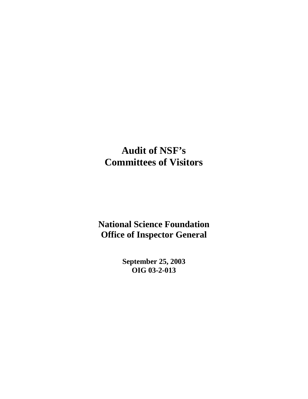## **Audit of NSF's Committees of Visitors**

**National Science Foundation Office of Inspector General**

> **September 25, 2003 OIG 03-2-013**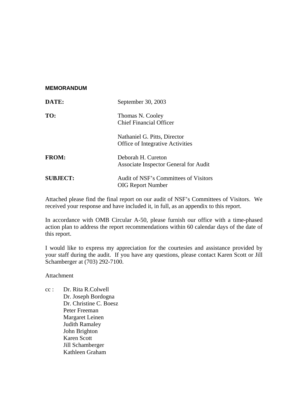#### **MEMORANDUM**

| DATE:           | September 30, 2003                                                      |  |  |  |
|-----------------|-------------------------------------------------------------------------|--|--|--|
| TO:             | Thomas N. Cooley<br><b>Chief Financial Officer</b>                      |  |  |  |
|                 | Nathaniel G. Pitts, Director<br><b>Office of Integrative Activities</b> |  |  |  |
| <b>FROM:</b>    | Deborah H. Cureton<br>Associate Inspector General for Audit             |  |  |  |
| <b>SUBJECT:</b> | Audit of NSF's Committees of Visitors<br><b>OIG Report Number</b>       |  |  |  |

Attached please find the final report on our audit of NSF's Committees of Visitors. We received your response and have included it, in full, as an appendix to this report.

In accordance with OMB Circular A-50, please furnish our office with a time-phased action plan to address the report recommendations within 60 calendar days of the date of this report.

I would like to express my appreciation for the courtesies and assistance provided by your staff during the audit. If you have any questions, please contact Karen Scott or Jill Schamberger at (703) 292-7100.

Attachment

cc : Dr. Rita R.Colwell Dr. Joseph Bordogna Dr. Christine C. Boesz Peter Freeman Margaret Leinen Judith Ramaley John Brighton Karen Scott Jill Schamberger Kathleen Graham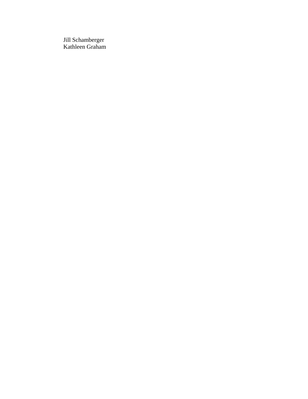Jill Schamberger Kathleen Graham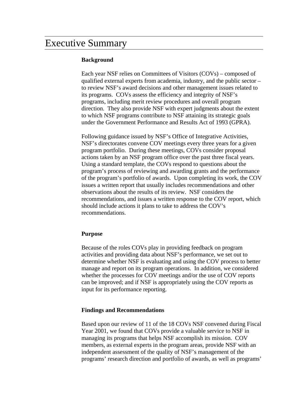### Executive Summary

### **Background**

Each year NSF relies on Committees of Visitors (COVs) – composed of qualified external experts from academia, industry, and the public sector – to review NSF's award decisions and other management issues related to its programs. COVs assess the efficiency and integrity of NSF's programs, including merit review procedures and overall program direction. They also provide NSF with expert judgments about the extent to which NSF programs contribute to NSF attaining its strategic goals under the Government Performance and Results Act of 1993 (GPRA).

Following guidance issued by NSF's Office of Integrative Activities, NSF's directorates convene COV meetings every three years for a given program portfolio. During these meetings, COVs consider proposal actions taken by an NSF program office over the past three fiscal years. Using a standard template, the COVs respond to questions about the program's process of reviewing and awarding grants and the performance of the program's portfolio of awards. Upon completing its work, the COV issues a written report that usually includes recommendations and other observations about the results of its review. NSF considers the recommendations, and issues a written response to the COV report, which should include actions it plans to take to address the COV's recommendations.

#### **Purpose**

Because of the roles COVs play in providing feedback on program activities and providing data about NSF's performance, we set out to determine whether NSF is evaluating and using the COV process to better manage and report on its program operations. In addition, we considered whether the processes for COV meetings and/or the use of COV reports can be improved; and if NSF is appropriately using the COV reports as input for its performance reporting.

#### **Findings and Recommendations**

Based upon our review of 11 of the 18 COVs NSF convened during Fiscal Year 2001, we found that COVs provide a valuable service to NSF in managing its programs that helps NSF accomplish its mission. COV members, as external experts in the program areas, provide NSF with an independent assessment of the quality of NSF's management of the programs' research direction and portfolio of awards, as well as programs'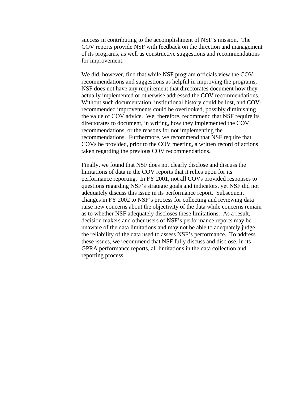success in contributing to the accomplishment of NSF's mission. The COV reports provide NSF with feedback on the direction and management of its programs, as well as constructive suggestions and recommendations for improvement.

We did, however, find that while NSF program officials view the COV recommendations and suggestions as helpful in improving the programs, NSF does not have any requirement that directorates document how they actually implemented or otherwise addressed the COV recommendations. Without such documentation, institutional history could be lost, and COVrecommended improvements could be overlooked, possibly diminishing the value of COV advice. We, therefore, recommend that NSF require its directorates to document, in writing, how they implemented the COV recommendations, or the reasons for not implementing the recommendations. Furthermore, we recommend that NSF require that COVs be provided, prior to the COV meeting, a written record of actions taken regarding the previous COV recommendations.

Finally, we found that NSF does not clearly disclose and discuss the limitations of data in the COV reports that it relies upon for its performance reporting. In FY 2001, not all COVs provided responses to questions regarding NSF's strategic goals and indicators, yet NSF did not adequately discuss this issue in its performance report. Subsequent changes in FY 2002 to NSF's process for collecting and reviewing data raise new concerns about the objectivity of the data while concerns remain as to whether NSF adequately discloses these limitations. As a result, decision makers and other users of NSF's performance reports may be unaware of the data limitations and may not be able to adequately judge the reliability of the data used to assess NSF's performance. To address these issues, we recommend that NSF fully discuss and disclose, in its GPRA performance reports, all limitations in the data collection and reporting process.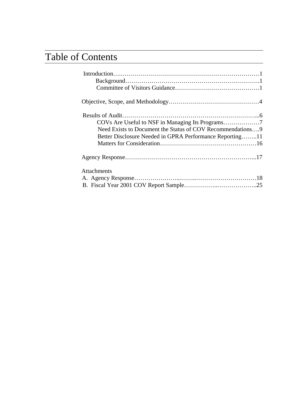# Table of Contents

| Need Exists to Document the Status of COV Recommendations9<br>Better Disclosure Needed in GPRA Performance Reporting11 |
|------------------------------------------------------------------------------------------------------------------------|
|                                                                                                                        |
| <b>Attachments</b>                                                                                                     |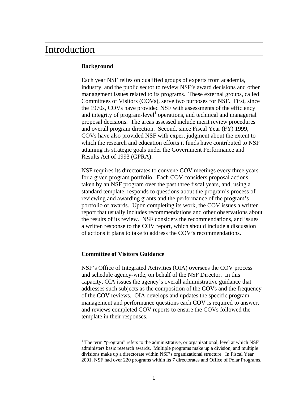### Introduction

### **Background**

Each year NSF relies on qualified groups of experts from academia, industry, and the public sector to review NSF's award decisions and other management issues related to its programs. These external groups, called Committees of Visitors (COVs), serve two purposes for NSF. First, since the 1970s, COVs have provided NSF with assessments of the efficiency and integrity of program-level<sup>1</sup> operations, and technical and managerial proposal decisions. The areas assessed include merit review procedures and overall program direction. Second, since Fiscal Year (FY) 1999, COVs have also provided NSF with expert judgment about the extent to which the research and education efforts it funds have contributed to NSF attaining its strategic goals under the Government Performance and Results Act of 1993 (GPRA).

NSF requires its directorates to convene COV meetings every three years for a given program portfolio. Each COV considers proposal actions taken by an NSF program over the past three fiscal years, and, using a standard template, responds to questions about the program's process of reviewing and awarding grants and the performance of the program's portfolio of awards. Upon completing its work, the COV issues a written report that usually includes recommendations and other observations about the results of its review. NSF considers the recommendations, and issues a written response to the COV report, which should include a discussion of actions it plans to take to address the COV's recommendations.

#### **Committee of Visitors Guidance**

NSF's Office of Integrated Activities (OIA) oversees the COV process and schedule agency-wide, on behalf of the NSF Director. In this capacity, OIA issues the agency's overall administrative guidance that addresses such subjects as the composition of the COVs and the frequency of the COV reviews. OIA develops and updates the specific program management and performance questions each COV is required to answer, and reviews completed COV reports to ensure the COVs followed the template in their responses.

<sup>1</sup> <sup>1</sup> The term "program" refers to the administrative, or organizational, level at which NSF administers basic research awards. Multiple programs make up a division, and multiple divisions make up a directorate within NSF's organizational structure. In Fiscal Year 2001, NSF had over 220 programs within its 7 directorates and Office of Polar Programs.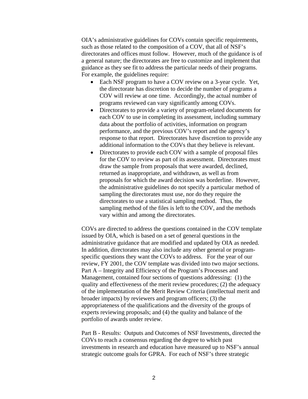OIA's administrative guidelines for COVs contain specific requirements, such as those related to the composition of a COV, that all of NSF's directorates and offices must follow. However, much of the guidance is of a general nature; the directorates are free to customize and implement that guidance as they see fit to address the particular needs of their programs. For example, the guidelines require:

- Each NSF program to have a COV review on a 3-year cycle. Yet, the directorate has discretion to decide the number of programs a COV will review at one time. Accordingly, the actual number of programs reviewed can vary significantly among COVs.
- Directorates to provide a variety of program-related documents for each COV to use in completing its assessment, including summary data about the portfolio of activities, information on program performance, and the previous COV's report and the agency's response to that report. Directorates have discretion to provide any additional information to the COVs that they believe is relevant.
- Directorates to provide each COV with a sample of proposal files for the COV to review as part of its assessment. Directorates must draw the sample from proposals that were awarded, declined, returned as inappropriate, and withdrawn, as well as from proposals for which the award decision was borderline. However, the administrative guidelines do not specify a particular method of sampling the directorates must use, nor do they require the directorates to use a statistical sampling method. Thus, the sampling method of the files is left to the COV, and the methods vary within and among the directorates.

COVs are directed to address the questions contained in the COV template issued by OIA, which is based on a set of general questions in the administrative guidance that are modified and updated by OIA as needed. In addition, directorates may also include any other general or programspecific questions they want the COVs to address. For the year of our review, FY 2001, the COV template was divided into two major sections. Part A – Integrity and Efficiency of the Program's Processes and Management, contained four sections of questions addressing: (1) the quality and effectiveness of the merit review procedures; (2) the adequacy of the implementation of the Merit Review Criteria (intellectual merit and broader impacts) by reviewers and program officers; (3) the appropriateness of the qualifications and the diversity of the groups of experts reviewing proposals; and (4) the quality and balance of the portfolio of awards under review.

Part B - Results: Outputs and Outcomes of NSF Investments, directed the COVs to reach a consensus regarding the degree to which past investments in research and education have measured up to NSF's annual strategic outcome goals for GPRA. For each of NSF's three strategic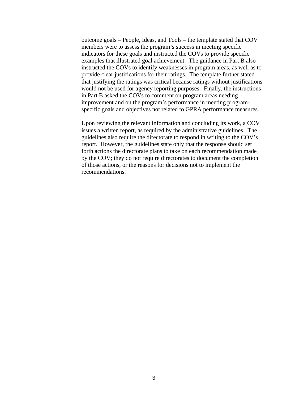outcome goals – People, Ideas, and Tools – the template stated that COV members were to assess the program's success in meeting specific indicators for these goals and instructed the COVs to provide specific examples that illustrated goal achievement. The guidance in Part B also instructed the COVs to identify weaknesses in program areas, as well as to provide clear justifications for their ratings. The template further stated that justifying the ratings was critical because ratings without justifications would not be used for agency reporting purposes. Finally, the instructions in Part B asked the COVs to comment on program areas needing improvement and on the program's performance in meeting programspecific goals and objectives not related to GPRA performance measures.

Upon reviewing the relevant information and concluding its work, a COV issues a written report, as required by the administrative guidelines. The guidelines also require the directorate to respond in writing to the COV's report. However, the guidelines state only that the response should set forth actions the directorate plans to take on each recommendation made by the COV; they do not require directorates to document the completion of those actions, or the reasons for decisions not to implement the recommendations.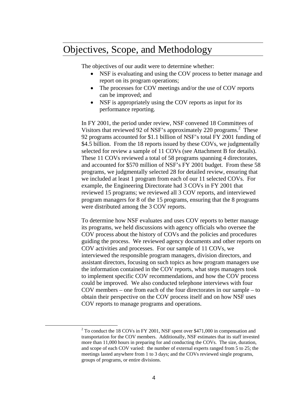### Objectives, Scope, and Methodology

The objectives of our audit were to determine whether:

- NSF is evaluating and using the COV process to better manage and report on its program operations;
- The processes for COV meetings and/or the use of COV reports can be improved; and
- NSF is appropriately using the COV reports as input for its performance reporting.

In FY 2001, the period under review, NSF convened 18 Committees of Visitors that reviewed 92 of NSF's approximately 220 programs.<sup>2</sup> These 92 programs accounted for \$1.1 billion of NSF's total FY 2001 funding of \$4.5 billion. From the 18 reports issued by these COVs, we judgmentally selected for review a sample of 11 COVs (see Attachment B for details). These 11 COVs reviewed a total of 58 programs spanning 4 directorates, and accounted for \$570 million of NSF's FY 2001 budget. From these 58 programs, we judgmentally selected 28 for detailed review, ensuring that we included at least 1 program from each of our 11 selected COVs. For example, the Engineering Directorate had 3 COVs in FY 2001 that reviewed 15 programs; we reviewed all 3 COV reports, and interviewed program managers for 8 of the 15 programs, ensuring that the 8 programs were distributed among the 3 COV reports.

To determine how NSF evaluates and uses COV reports to better manage its programs, we held discussions with agency officials who oversee the COV process about the history of COVs and the policies and procedures guiding the process. We reviewed agency documents and other reports on COV activities and processes. For our sample of 11 COVs, we interviewed the responsible program managers, division directors, and assistant directors, focusing on such topics as how program managers use the information contained in the COV reports, what steps managers took to implement specific COV recommendations, and how the COV process could be improved. We also conducted telephone interviews with four COV members – one from each of the four directorates in our sample – to obtain their perspective on the COV process itself and on how NSF uses COV reports to manage programs and operations.

<sup>2</sup>  $2$  To conduct the 18 COVs in FY 2001, NSF spent over \$471,000 in compensation and transportation for the COV members. Additionally, NSF estimates that its staff invested more than 11,000 hours in preparing for and conducting the COVs. The size, duration, and scope of each COV varied: the number of external experts ranged from 5 to 25; the meetings lasted anywhere from 1 to 3 days; and the COVs reviewed single programs, groups of programs, or entire divisions.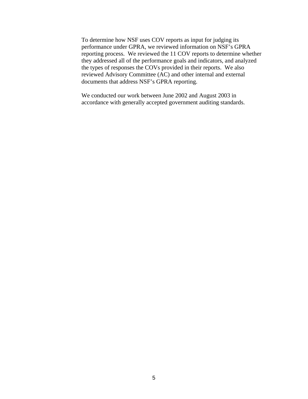To determine how NSF uses COV reports as input for judging its performance under GPRA, we reviewed information on NSF's GPRA reporting process. We reviewed the 11 COV reports to determine whether they addressed all of the performance goals and indicators, and analyzed the types of responses the COVs provided in their reports. We also reviewed Advisory Committee (AC) and other internal and external documents that address NSF's GPRA reporting.

We conducted our work between June 2002 and August 2003 in accordance with generally accepted government auditing standards.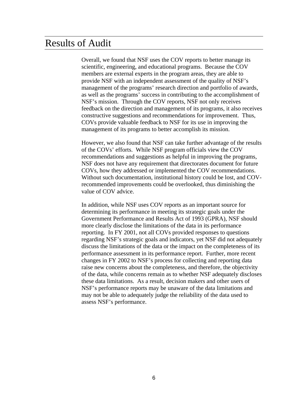### Results of Audit

Overall, we found that NSF uses the COV reports to better manage its scientific, engineering, and educational programs. Because the COV members are external experts in the program areas, they are able to provide NSF with an independent assessment of the quality of NSF's management of the programs' research direction and portfolio of awards, as well as the programs' success in contributing to the accomplishment of NSF's mission. Through the COV reports, NSF not only receives feedback on the direction and management of its programs, it also receives constructive suggestions and recommendations for improvement. Thus, COVs provide valuable feedback to NSF for its use in improving the management of its programs to better accomplish its mission.

However, we also found that NSF can take further advantage of the results of the COVs' efforts. While NSF program officials view the COV recommendations and suggestions as helpful in improving the programs, NSF does not have any requirement that directorates document for future COVs, how they addressed or implemented the COV recommendations. Without such documentation, institutional history could be lost, and COVrecommended improvements could be overlooked, thus diminishing the value of COV advice.

In addition, while NSF uses COV reports as an important source for determining its performance in meeting its strategic goals under the Government Performance and Results Act of 1993 (GPRA), NSF should more clearly disclose the limitations of the data in its performance reporting. In FY 2001, not all COVs provided responses to questions regarding NSF's strategic goals and indicators, yet NSF did not adequately discuss the limitations of the data or the impact on the completeness of its performance assessment in its performance report. Further, more recent changes in FY 2002 to NSF's process for collecting and reporting data raise new concerns about the completeness, and therefore, the objectivity of the data, while concerns remain as to whether NSF adequately discloses these data limitations. As a result, decision makers and other users of NSF's performance reports may be unaware of the data limitations and may not be able to adequately judge the reliability of the data used to assess NSF's performance.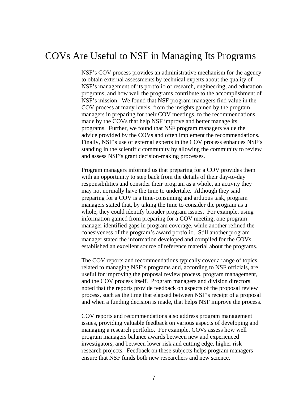### COVs Are Useful to NSF in Managing Its Programs

NSF's COV process provides an administrative mechanism for the agency to obtain external assessments by technical experts about the quality of NSF's management of its portfolio of research, engineering, and education programs, and how well the programs contribute to the accomplishment of NSF's mission. We found that NSF program managers find value in the COV process at many levels, from the insights gained by the program managers in preparing for their COV meetings, to the recommendations made by the COVs that help NSF improve and better manage its programs. Further, we found that NSF program managers value the advice provided by the COVs and often implement the recommendations. Finally, NSF's use of external experts in the COV process enhances NSF's standing in the scientific community by allowing the community to review and assess NSF's grant decision-making processes.

Program managers informed us that preparing for a COV provides them with an opportunity to step back from the details of their day-to-day responsibilities and consider their program as a whole, an activity they may not normally have the time to undertake. Although they said preparing for a COV is a time-consuming and arduous task, program managers stated that, by taking the time to consider the program as a whole, they could identify broader program issues. For example, using information gained from preparing for a COV meeting, one program manager identified gaps in program coverage, while another refined the cohesiveness of the program's award portfolio. Still another program manager stated the information developed and compiled for the COVs established an excellent source of reference material about the programs.

The COV reports and recommendations typically cover a range of topics related to managing NSF's programs and, according to NSF officials, are useful for improving the proposal review process, program management, and the COV process itself. Program managers and division directors noted that the reports provide feedback on aspects of the proposal review process, such as the time that elapsed between NSF's receipt of a proposal and when a funding decision is made, that helps NSF improve the process.

COV reports and recommendations also address program management issues, providing valuable feedback on various aspects of developing and managing a research portfolio. For example, COVs assess how well program managers balance awards between new and experienced investigators, and between lower risk and cutting edge, higher risk research projects. Feedback on these subjects helps program managers ensure that NSF funds both new researchers and new science.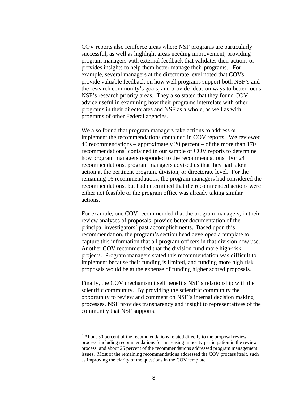COV reports also reinforce areas where NSF programs are particularly successful, as well as highlight areas needing improvement, providing program managers with external feedback that validates their actions or provides insights to help them better manage their programs. For example, several managers at the directorate level noted that COVs provide valuable feedback on how well programs support both NSF's and the research community's goals, and provide ideas on ways to better focus NSF's research priority areas. They also stated that they found COV advice useful in examining how their programs interrelate with other programs in their directorates and NSF as a whole, as well as with programs of other Federal agencies.

We also found that program managers take actions to address or implement the recommendations contained in COV reports. We reviewed 40 recommendations – approximately 20 percent – of the more than 170 recommendations<sup>3</sup> contained in our sample of COV reports to determine how program managers responded to the recommendations. For 24 recommendations, program managers advised us that they had taken action at the pertinent program, division, or directorate level. For the remaining 16 recommendations, the program managers had considered the recommendations, but had determined that the recommended actions were either not feasible or the program office was already taking similar actions.

For example, one COV recommended that the program managers, in their review analyses of proposals, provide better documentation of the principal investigators' past accomplishments. Based upon this recommendation, the program's section head developed a template to capture this information that all program officers in that division now use. Another COV recommended that the division fund more high-risk projects. Program managers stated this recommendation was difficult to implement because their funding is limited, and funding more high risk proposals would be at the expense of funding higher scored proposals.

Finally, the COV mechanism itself benefits NSF's relationship with the scientific community. By providing the scientific community the opportunity to review and comment on NSF's internal decision making processes, NSF provides transparency and insight to representatives of the community that NSF supports.

<sup>3</sup>  $3$  About 50 percent of the recommendations related directly to the proposal review process, including recommendations for increasing minority participation in the review process, and about 25 percent of the recommendations addressed program management issues. Most of the remaining recommendations addressed the COV process itself, such as improving the clarity of the questions in the COV template.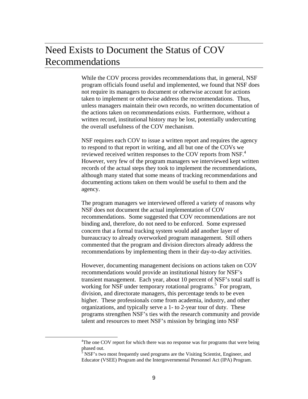## Need Exists to Document the Status of COV Recommendations

While the COV process provides recommendations that, in general, NSF program officials found useful and implemented, we found that NSF does not require its managers to document or otherwise account for actions taken to implement or otherwise address the recommendations. Thus, unless managers maintain their own records, no written documentation of the actions taken on recommendations exists. Furthermore, without a written record, institutional history may be lost, potentially undercutting the overall usefulness of the COV mechanism.

NSF requires each COV to issue a written report and requires the agency to respond to that report in writing, and all but one of the COVs we reviewed received written responses to the COV reports from NSF.<sup>4</sup> However, very few of the program managers we interviewed kept written records of the actual steps they took to implement the recommendations, although many stated that some means of tracking recommendations and documenting actions taken on them would be useful to them and the agency.

The program managers we interviewed offered a variety of reasons why NSF does not document the actual implementation of COV recommendations. Some suggested that COV recommendations are not binding and, therefore, do not need to be enforced. Some expressed concern that a formal tracking system would add another layer of bureaucracy to already overworked program management. Still others commented that the program and division directors already address the recommendations by implementing them in their day-to-day activities.

However, documenting management decisions on actions taken on COV recommendations would provide an institutional history for NSF's transient management. Each year, about 10 percent of NSF's total staff is working for NSF under temporary rotational programs.<sup>5</sup> For program, division, and directorate managers, this percentage tends to be even higher. These professionals come from academia, industry, and other organizations, and typically serve a 1- to 2-year tour of duty. These programs strengthen NSF's ties with the research community and provide talent and resources to meet NSF's mission by bringing into NSF

<sup>4</sup> <sup>4</sup>The one COV report for which there was no response was for programs that were being phased out.<br><sup>5</sup> NSF's two most frequently used programs are the Visiting Scientist, Engineer, and

Educator (VSEE) Program and the Intergovernmental Personnel Act (IPA) Program.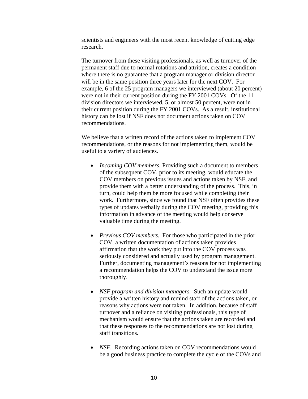scientists and engineers with the most recent knowledge of cutting edge research.

The turnover from these visiting professionals, as well as turnover of the permanent staff due to normal rotations and attrition, creates a condition where there is no guarantee that a program manager or division director will be in the same position three years later for the next COV. For example, 6 of the 25 program managers we interviewed (about 20 percent) were not in their current position during the FY 2001 COVs. Of the 11 division directors we interviewed, 5, or almost 50 percent, were not in their current position during the FY 2001 COVs. As a result, institutional history can be lost if NSF does not document actions taken on COV recommendations.

We believe that a written record of the actions taken to implement COV recommendations, or the reasons for not implementing them, would be useful to a variety of audiences.

- *Incoming COV members.* Providing such a document to members of the subsequent COV, prior to its meeting, would educate the COV members on previous issues and actions taken by NSF, and provide them with a better understanding of the process. This, in turn, could help them be more focused while completing their work. Furthermore, since we found that NSF often provides these types of updates verbally during the COV meeting, providing this information in advance of the meeting would help conserve valuable time during the meeting.
- *Previous COV members.* For those who participated in the prior COV, a written documentation of actions taken provides affirmation that the work they put into the COV process was seriously considered and actually used by program management. Further, documenting management's reasons for not implementing a recommendation helps the COV to understand the issue more thoroughly.
- *NSF program and division managers.* Such an update would provide a written history and remind staff of the actions taken, or reasons why actions were not taken. In addition, because of staff turnover and a reliance on visiting professionals, this type of mechanism would ensure that the actions taken are recorded and that these responses to the recommendations are not lost during staff transitions.
- *NSF.* Recording actions taken on COV recommendations would be a good business practice to complete the cycle of the COVs and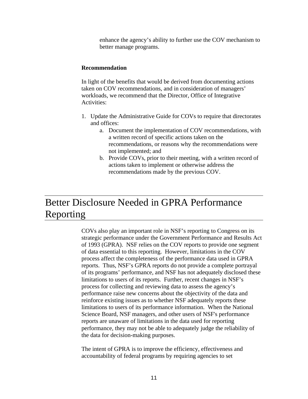enhance the agency's ability to further use the COV mechanism to better manage programs.

#### **Recommendation**

In light of the benefits that would be derived from documenting actions taken on COV recommendations, and in consideration of managers' workloads, we recommend that the Director, Office of Integrative Activities:

- 1. Update the Administrative Guide for COVs to require that directorates and offices:
	- a. Document the implementation of COV recommendations, with a written record of specific actions taken on the recommendations, or reasons why the recommendations were not implemented; and
	- b. Provide COVs, prior to their meeting, with a written record of actions taken to implement or otherwise address the recommendations made by the previous COV.

## Better Disclosure Needed in GPRA Performance Reporting

COVs also play an important role in NSF's reporting to Congress on its strategic performance under the Government Performance and Results Act of 1993 (GPRA). NSF relies on the COV reports to provide one segment of data essential to this reporting. However, limitations in the COV process affect the completeness of the performance data used in GPRA reports. Thus, NSF's GPRA reports do not provide a complete portrayal of its programs' performance, and NSF has not adequately disclosed these limitations to users of its reports. Further, recent changes in NSF's process for collecting and reviewing data to assess the agency's performance raise new concerns about the objectivity of the data and reinforce existing issues as to whether NSF adequately reports these limitations to users of its performance information. When the National Science Board, NSF managers, and other users of NSF's performance reports are unaware of limitations in the data used for reporting performance, they may not be able to adequately judge the reliability of the data for decision-making purposes.

The intent of GPRA is to improve the efficiency, effectiveness and accountability of federal programs by requiring agencies to set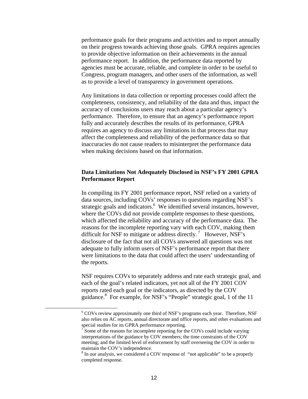performance goals for their programs and activities and to report annually on their progress towards achieving those goals. GPRA requires agencies to provide objective information on their achievements in the annual performance report. In addition, the performance data reported by agencies must be accurate, reliable, and complete in order to be useful to Congress, program managers, and other users of the information, as well as to provide a level of transparency in government operations.

Any limitations in data collection or reporting processes could affect the completeness, consistency, and reliability of the data and thus, impact the accuracy of conclusions users may reach about a particular agency's performance. Therefore, to ensure that an agency's performance report fully and accurately describes the results of its performance, GPRA requires an agency to discuss any limitations in that process that may affect the completeness and reliability of the performance data so that inaccuracies do not cause readers to misinterpret the performance data when making decisions based on that information.

### **Data Limitations Not Adequately Disclosed in NSF's FY 2001 GPRA Performance Report**

In compiling its FY 2001 performance report, NSF relied on a variety of data sources, including COVs' responses to questions regarding NSF's strategic goals and indicators.<sup>6</sup> We identified several instances, however, where the COVs did not provide complete responses to these questions, which affected the reliability and accuracy of the performance data. The reasons for the incomplete reporting vary with each COV, making them difficult for NSF to mitigate or address directly.<sup>7</sup> However, NSF's disclosure of the fact that not all COVs answered all questions was not adequate to fully inform users of NSF's performance report that there were limitations to the data that could affect the users' understanding of the reports.

NSF requires COVs to separately address and rate each strategic goal, and each of the goal's related indicators, yet not all of the FY 2001 COV reports rated each goal or the indicators, as directed by the COV guidance.<sup>8</sup> For example, for NSF's "People" strategic goal, 1 of the 11

 $\overline{\phantom{a}}$ <sup>6</sup> COVs review approximately one third of NSF's programs each year. Therefore, NSF also relies on AC reports, annual directorate and office reports, and other evaluations and special studies for its GPRA performance reporting.

 $7^{\circ}$  Some of the reasons for incomplete reporting for the COVs could include varying interpretations of the guidance by COV members; the time constraints of the COV meeting; and the limited level of enforcement by staff overseeing the COV in order to maintain the COV's independence.

<sup>&</sup>lt;sup>8</sup> In our analysis, we considered a COV response of "not applicable" to be a properly completed response.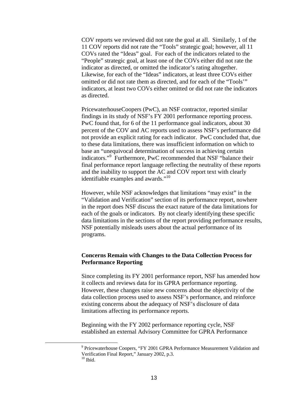COV reports we reviewed did not rate the goal at all. Similarly, 1 of the 11 COV reports did not rate the "Tools" strategic goal; however, all 11 COVs rated the "Ideas" goal. For each of the indicators related to the "People" strategic goal, at least one of the COVs either did not rate the indicator as directed, or omitted the indicator's rating altogether. Likewise, for each of the "Ideas" indicators, at least three COVs either omitted or did not rate them as directed, and for each of the "Tools'" indicators, at least two COVs either omitted or did not rate the indicators as directed.

PricewaterhouseCoopers (PwC), an NSF contractor, reported similar findings in its study of NSF's FY 2001 performance reporting process. PwC found that, for 6 of the 11 performance goal indicators, about 30 percent of the COV and AC reports used to assess NSF's performance did not provide an explicit rating for each indicator. PwC concluded that, due to these data limitations, there was insufficient information on which to base an "unequivocal determination of success in achieving certain indicators."<sup>9</sup> Furthermore, PwC recommended that NSF "balance their final performance report language reflecting the neutrality of these reports and the inability to support the AC and COV report text with clearly identifiable examples and awards."10

However, while NSF acknowledges that limitations "may exist" in the "Validation and Verification" section of its performance report, nowhere in the report does NSF discuss the exact nature of the data limitations for each of the goals or indicators. By not clearly identifying these specific data limitations in the sections of the report providing performance results, NSF potentially misleads users about the actual performance of its programs.

### **Concerns Remain with Changes to the Data Collection Process for Performance Reporting**

Since completing its FY 2001 performance report, NSF has amended how it collects and reviews data for its GPRA performance reporting. However, these changes raise new concerns about the objectivity of the data collection process used to assess NSF's performance, and reinforce existing concerns about the adequacy of NSF's disclosure of data limitations affecting its performance reports.

Beginning with the FY 2002 performance reporting cycle, NSF established an external Advisory Committee for GPRA Performance

 $\overline{\phantom{a}}$ <sup>9</sup> Pricewaterhouse Coopers, "FY 2001 GPRA Performance Measurement Validation and Verification Final Report," January 2002, p.3.

 $10$  Ibid.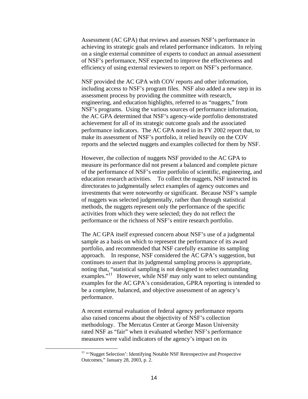Assessment (AC GPA) that reviews and assesses NSF's performance in achieving its strategic goals and related performance indicators. In relying on a single external committee of experts to conduct an annual assessment of NSF's performance, NSF expected to improve the effectiveness and efficiency of using external reviewers to report on NSF's performance.

NSF provided the AC GPA with COV reports and other information, including access to NSF's program files. NSF also added a new step in its assessment process by providing the committee with research, engineering, and education highlights, referred to as "nuggets," from NSF's programs. Using the various sources of performance information, the AC GPA determined that NSF's agency-wide portfolio demonstrated achievement for all of its strategic outcome goals and the associated performance indicators. The AC GPA noted in its FY 2002 report that, to make its assessment of NSF's portfolio, it relied heavily on the COV reports and the selected nuggets and examples collected for them by NSF.

However, the collection of nuggets NSF provided to the AC GPA to measure its performance did not present a balanced and complete picture of the performance of NSF's entire portfolio of scientific, engineering, and education research activities. To collect the nuggets, NSF instructed its directorates to judgmentally select examples of agency outcomes and investments that were noteworthy or significant. Because NSF's sample of nuggets was selected judgmentally, rather than through statistical methods, the nuggets represent only the performance of the specific activities from which they were selected; they do not reflect the performance or the richness of NSF's entire research portfolio.

The AC GPA itself expressed concern about NSF's use of a judgmental sample as a basis on which to represent the performance of its award portfolio, and recommended that NSF carefully examine its sampling approach. In response, NSF considered the AC GPA's suggestion, but continues to assert that its judgmental sampling process is appropriate, noting that, "statistical sampling is not designed to select outstanding examples."<sup>11</sup> However, while NSF may only want to select outstanding examples for the AC GPA's consideration, GPRA reporting is intended to be a complete, balanced, and objective assessment of an agency's performance.

A recent external evaluation of federal agency performance reports also raised concerns about the objectivity of NSF's collection methodology. The Mercatus Center at George Mason University rated NSF as "fair" when it evaluated whether NSF's performance measures were valid indicators of the agency's impact on its

<sup>&</sup>lt;sup>11</sup> "'Nugget Selection': Identifying Notable NSF Retrospective and Prospective Outcomes," January 28, 2003, p. 2.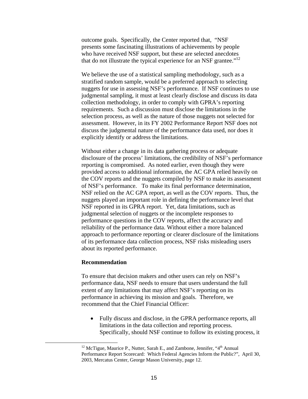outcome goals. Specifically, the Center reported that, "NSF presents some fascinating illustrations of achievements by people who have received NSF support, but these are selected anecdotes that do not illustrate the typical experience for an NSF grantee. $12$ 

We believe the use of a statistical sampling methodology, such as a stratified random sample, would be a preferred approach to selecting nuggets for use in assessing NSF's performance. If NSF continues to use judgmental sampling, it must at least clearly disclose and discuss its data collection methodology, in order to comply with GPRA's reporting requirements. Such a discussion must disclose the limitations in the selection process, as well as the nature of those nuggets not selected for assessment. However, in its FY 2002 Performance Report NSF does not discuss the judgmental nature of the performance data used, nor does it explicitly identify or address the limitations.

Without either a change in its data gathering process or adequate disclosure of the process' limitations, the credibility of NSF's performance reporting is compromised. As noted earlier, even though they were provided access to additional information, the AC GPA relied heavily on the COV reports and the nuggets compiled by NSF to make its assessment of NSF's performance. To make its final performance determination, NSF relied on the AC GPA report, as well as the COV reports. Thus, the nuggets played an important role in defining the performance level that NSF reported in its GPRA report. Yet, data limitations, such as judgmental selection of nuggets or the incomplete responses to performance questions in the COV reports, affect the accuracy and reliability of the performance data. Without either a more balanced approach to performance reporting or clearer disclosure of the limitations of its performance data collection process, NSF risks misleading users about its reported performance.

#### **Recommendation**

To ensure that decision makers and other users can rely on NSF's performance data, NSF needs to ensure that users understand the full extent of any limitations that may affect NSF's reporting on its performance in achieving its mission and goals. Therefore, we recommend that the Chief Financial Officer:

• Fully discuss and disclose, in the GPRA performance reports, all limitations in the data collection and reporting process. Specifically, should NSF continue to follow its existing process, it

 $12$  McTigue, Maurice P., Nutter, Sarah E., and Zambone, Jennifer, "4<sup>th</sup> Annual Performance Report Scorecard: Which Federal Agencies Inform the Public?", April 30, 2003, Mercatus Center, George Mason University, page 12.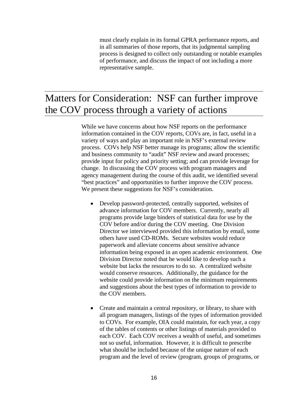must clearly explain in its formal GPRA performance reports, and in all summaries of those reports, that its judgmental sampling process is designed to collect only outstanding or notable examples of performance, and discuss the impact of not including a more representative sample.

## Matters for Consideration: NSF can further improve the COV process through a variety of actions

While we have concerns about how NSF reports on the performance information contained in the COV reports, COVs are, in fact, useful in a variety of ways and play an important role in NSF's external review process. COVs help NSF better manage its programs; allow the scientific and business community to "audit" NSF review and award processes; provide input for policy and priority setting; and can provide leverage for change. In discussing the COV process with program managers and agency management during the course of this audit, we identified several "best practices" and opportunities to further improve the COV process. We present these suggestions for NSF's consideration.

- Develop password-protected, centrally supported, websites of advance information for COV members. Currently, nearly all programs provide large binders of statistical data for use by the COV before and/or during the COV meeting. One Division Director we interviewed provided this information by email, some others have used CD-ROMs. Secure websites would reduce paperwork and alleviate concerns about sensitive advance information being exposed in an open academic environment. One Division Director noted that he would like to develop such a website but lacks the resources to do so. A centralized website would conserve resources. Additionally, the guidance for the website could provide information on the minimum requirements and suggestions about the best types of information to provide to the COV members.
- Create and maintain a central repository, or library, to share with all program managers, listings of the types of information provided to COVs. For example, OIA could maintain, for each year, a copy of the tables of contents or other listings of materials provided to each COV. Each COV receives a wealth of useful, and sometimes not so useful, information. However, it is difficult to prescribe what should be included because of the unique nature of each program and the level of review (program, groups of programs, or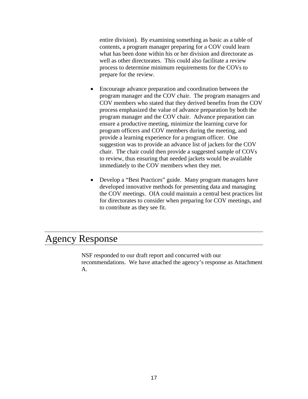entire division). By examining something as basic as a table of contents, a program manager preparing for a COV could learn what has been done within his or her division and directorate as well as other directorates. This could also facilitate a review process to determine minimum requirements for the COVs to prepare for the review.

- Encourage advance preparation and coordination between the program manager and the COV chair. The program managers and COV members who stated that they derived benefits from the COV process emphasized the value of advance preparation by both the program manager and the COV chair. Advance preparation can ensure a productive meeting, minimize the learning curve for program officers and COV members during the meeting, and provide a learning experience for a program officer. One suggestion was to provide an advance list of jackets for the COV chair. The chair could then provide a suggested sample of COVs to review, thus ensuring that needed jackets would be available immediately to the COV members when they met.
- Develop a "Best Practices" guide. Many program managers have developed innovative methods for presenting data and managing the COV meetings. OIA could maintain a central best practices list for directorates to consider when preparing for COV meetings, and to contribute as they see fit.

### Agency Response

NSF responded to our draft report and concurred with our recommendations. We have attached the agency's response as Attachment A.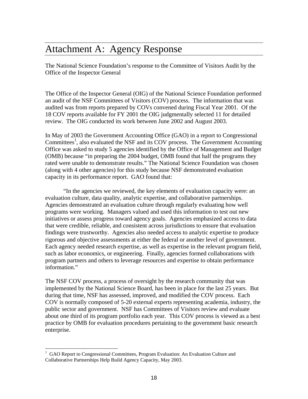## Attachment A: Agency Response

The National Science Foundation's response to the Committee of Visitors Audit by the Office of the Inspector General

The Office of the Inspector General (OIG) of the National Science Foundation performed an audit of the NSF Committees of Visitors (COV) process. The information that was audited was from reports prepared by COVs convened during Fiscal Year 2001. Of the 18 COV reports available for FY 2001 the OIG judgmentally selected 11 for detailed review. The OIG conducted its work between June 2002 and August 2003.

In May of 2003 the Government Accounting Office (GAO) in a report to Congressional Committees<sup>1</sup>, also evaluated the NSF and its COV process. The Government Accounting Office was asked to study 5 agencies identified by the Office of Management and Budget (OMB) because "in preparing the 2004 budget, OMB found that half the programs they rated were unable to demonstrate results." The National Science Foundation was chosen (along with 4 other agencies) for this study because NSF demonstrated evaluation capacity in its performance report. GAO found that:

 "In the agencies we reviewed, the key elements of evaluation capacity were: an evaluation culture, data quality, analytic expertise, and collaborative partnerships. Agencies demonstrated an evaluation culture through regularly evaluating how well programs were working. Managers valued and used this information to test out new initiatives or assess progress toward agency goals. Agencies emphasized access to data that were credible, reliable, and consistent across jurisdictions to ensure that evaluation findings were trustworthy. Agencies also needed access to analytic expertise to produce rigorous and objective assessments at either the federal or another level of government. Each agency needed research expertise, as well as expertise in the relevant program field, such as labor economics, or engineering. Finally, agencies formed collaborations with program partners and others to leverage resources and expertise to obtain performance information."

The NSF COV process, a process of oversight by the research community that was implemented by the National Science Board, has been in place for the last 25 years. But during that time, NSF has assessed, improved, and modified the COV process. Each COV is normally composed of 5-20 external experts representing academia, industry, the public sector and government. NSF has Committees of Visitors review and evaluate about one third of its program portfolio each year. This COV process is viewed as a best practice by OMB for evaluation procedures pertaining to the government basic research enterprise.

<sup>1</sup> GAO Report to Congressional Committees, Program Evaluation: An Evaluation Culture and Collaborative Partnerships Help Build Agency Capacity, May 2003.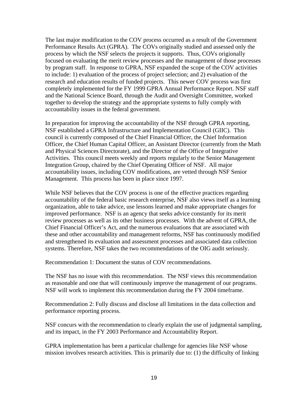The last major modification to the COV process occurred as a result of the Government Performance Results Act (GPRA). The COVs originally studied and assessed only the process by which the NSF selects the projects it supports. Thus, COVs origionally focused on evaluating the merit review processes and the management of those processes by program staff. In response to GPRA, NSF expanded the scope of the COV activities to include: 1) evaluation of the process of project selection; and 2) evaluation of the research and education results of funded projects. This newer COV process was first completely implemented for the FY 1999 GPRA Annual Performance Report. NSF staff and the National Science Board, through the Audit and Oversight Committee, worked together to develop the strategy and the appropriate systems to fully comply with accountability issues in the federal government.

In preparation for improving the accountability of the NSF through GPRA reporting, NSF established a GPRA Infrastructure and Implementation Council (GIIC). This council is currently composed of the Chief Financial Officer, the Chief Information Officer, the Chief Human Capital Officer, an Assistant Director (currently from the Math and Physical Sciences Directorate), and the Director of the Office of Integrative Activities. This council meets weekly and reports regularly to the Senior Management Integration Group, chaired by the Chief Operating Officer of NSF. All major accountability issues, including COV modifications, are vetted through NSF Senior Management. This process has been in place since 1997.

While NSF believes that the COV process is one of the effective practices regarding accountability of the federal basic research enterprise, NSF also views itself as a learning organization, able to take advice, use lessons learned and make appropriate changes for improved performance. NSF is an agency that seeks advice constantly for its merit review processes as well as its other business processes. With the advent of GPRA, the Chief Financial Officer's Act, and the numerous evaluations that are associated with these and other accountability and management reforms, NSF has continuously modified and strengthened its evaluation and assessment processes and associated data collection systems. Therefore, NSF takes the two recommendations of the OIG audit seriously.

Recommendation 1: Document the status of COV recommendations.

The NSF has no issue with this recommendation. The NSF views this recommendation as reasonable and one that will continuously improve the management of our programs. NSF will work to implement this recommendation during the FY 2004 timeframe.

Recommendation 2: Fully discuss and disclose all limitations in the data collection and performance reporting process.

NSF concurs with the recommendation to clearly explain the use of judgmental sampling, and its impact, in the FY 2003 Performance and Accountability Report.

GPRA implementation has been a particular challenge for agencies like NSF whose mission involves research activities. This is primarily due to: (1) the difficulty of linking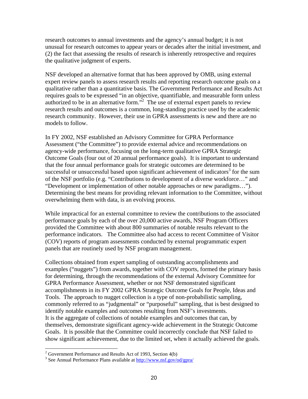research outcomes to annual investments and the agency's annual budget; it is not unusual for research outcomes to appear years or decades after the initial investment, and (2) the fact that assessing the results of research is inherently retrospective and requires the qualitative judgment of experts.

NSF developed an alternative format that has been approved by OMB, using external expert review panels to assess research results and reporting research outcome goals on a qualitative rather than a quantitative basis. The Government Performance and Results Act requires goals to be expressed "in an objective, quantifiable, and measurable form unless authorized to be in an alternative form.<sup>32</sup> The use of external expert panels to review research results and outcomes is a common, long-standing practice used by the academic research community. However, their use in GPRA assessments is new and there are no models to follow.

In FY 2002, NSF established an Advisory Committee for GPRA Performance Assessment ("the Committee") to provide external advice and recommendations on agency-wide performance, focusing on the long-term qualitative GPRA Strategic Outcome Goals (four out of 20 annual performance goals). It is important to understand that the four annual performance goals for strategic outcomes are determined to be successful or unsuccessful based upon significant achievement of indicators<sup>3</sup> for the sum of the NSF portfolio (e.g. "Contributions to development of a diverse workforce…" and "Development or implementation of other notable approaches or new paradigms…"). Determining the best means for providing relevant information to the Committee, without overwhelming them with data, is an evolving process.

While impractical for an external committee to review the contributions to the associated performance goals by each of the over 20,000 active awards, NSF Program Officers provided the Committee with about 800 summaries of notable results relevant to the performance indicators. The Committee also had access to recent Committee of Visitor (COV) reports of program assessments conducted by external programmatic expert panels that are routinely used by NSF program management.

Collections obtained from expert sampling of outstanding accomplishments and examples ("nuggets") from awards, together with COV reports, formed the primary basis for determining, through the recommendations of the external Advisory Committee for GPRA Performance Assessment, whether or not NSF demonstrated significant accomplishments in its FY 2002 GPRA Strategic Outcome Goals for People, Ideas and Tools. The approach to nugget collection is a type of non-probabilistic sampling, commonly referred to as "judgmental" or "purposeful" sampling, that is best designed to identify notable examples and outcomes resulting from NSF's investments. It is the aggregate of collections of notable examples and outcomes that can, by themselves, demonstrate significant agency-wide achievement in the Strategic Outcome Goals. It is possible that the Committee could incorrectly conclude that NSF failed to show significant achievement, due to the limited set, when it actually achieved the goals.

<sup>&</sup>lt;sup>2</sup> Government Performance and Results Act of 1993, Section  $4(b)$ 

<sup>&</sup>lt;sup>3</sup> See Annual Performance Plans available at http://www.nsf.gov/od/gpra/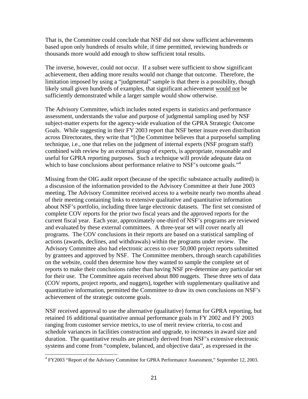That is, the Committee could conclude that NSF did not show sufficient achievements based upon only hundreds of results while, if time permitted, reviewing hundreds or thousands more would add enough to show sufficient total results.

The inverse, however, could not occur. If a subset were sufficient to show significant achievement, then adding more results would not change that outcome. Therefore, the limitation imposed by using a "judgmental" sample is that there is a possibility, though likely small given hundreds of examples, that significant achievement would not be sufficiently demonstrated while a larger sample would show otherwise.

The Advisory Committee, which includes noted experts in statistics and performance assessment, understands the value and purpose of judgmental sampling used by NSF subject-matter experts for the agency-wide evaluation of the GPRA Strategic Outcome Goals. While suggesting in their FY 2003 report that NSF better insure even distribution across Directorates, they write that "[t]he Committee believes that a purposeful sampling technique, i.e., one that relies on the judgment of internal experts (NSF program staff) combined with review by an external group of experts, is appropriate, reasonable and useful for GPRA reporting purposes. Such a technique will provide adequate data on which to base conclusions about performance relative to NSF's outcome goals."<sup>4</sup>

Missing from the OIG audit report (because of the specific substance actually audited) is a discussion of the information provided to the Advisory Committee at their June 2003 meeting. The Advisory Committee received access to a website nearly two months ahead of their meeting containing links to extensive qualitative and quantitative information about NSF's portfolio, including three large electronic datasets. The first set consisted of complete COV reports for the prior two fiscal years and the approved reports for the current fiscal year. Each year, approximately one-third of NSF's programs are reviewed and evaluated by these external committees. A three-year set will cover nearly all programs. The COV conclusions in their reports are based on a statistical sampling of actions (awards, declines, and withdrawals) within the programs under review. The Advisory Committee also had electronic access to over 50,000 project reports submitted by grantees and approved by NSF. The Committee members, through search capabilities on the website, could then determine how they wanted to sample the complete set of reports to make their conclusions rather than having NSF pre-determine any particular set for their use. The Committee again received about 800 nuggets. These three sets of data (COV reports, project reports, and nuggets), together with supplementary qualitative and quantitative information, permitted the Committee to draw its own conclusions on NSF's achievement of the strategic outcome goals.

NSF received approval to use the alternative (qualitative) format for GPRA reporting, but retained 16 additional quantitative annual performance goals in FY 2002 and FY 2003 ranging from customer service metrics, to use of merit review criteria, to cost and schedule variances in facilities construction and upgrade, to increases in award size and duration. The quantitative results are primarily derived from NSF's extensive electronic systems and come from "complete, balanced, and objective data", as expressed in the

<sup>&</sup>lt;sup>4</sup> FY2003 "Report of the Advisory Committee for GPRA Performance Assessment," September 12, 2003.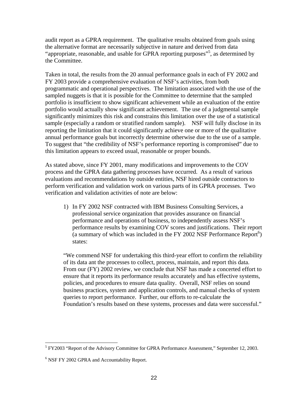audit report as a GPRA requirement. The qualitative results obtained from goals using the alternative format are necessarily subjective in nature and derived from data "appropriate, reasonable, and usable for GPRA reporting purposes"<sup>5</sup>, as determined by the Committee.

Taken in total, the results from the 20 annual performance goals in each of FY 2002 and FY 2003 provide a comprehensive evaluation of NSF's activities, from both programmatic and operational perspectives. The limitation associated with the use of the sampled nuggets is that it is possible for the Committee to determine that the sampled portfolio is insufficient to show significant achievement while an evaluation of the entire portfolio would actually show significant achievement. The use of a judgmental sample significantly minimizes this risk and constrains this limitation over the use of a statistical sample (especially a random or stratified random sample). NSF will fully disclose in its reporting the limitation that it could significantly achieve one or more of the qualitative annual performance goals but incorrectly determine otherwise due to the use of a sample. To suggest that "the credibility of NSF's performance reporting is compromised" due to this limitation appears to exceed usual, reasonable or proper bounds.

As stated above, since FY 2001, many modifications and improvements to the COV process and the GPRA data gathering processes have occurred. As a result of various evaluations and recommendations by outside entities, NSF hired outside contractors to perform verification and validation work on various parts of its GPRA processes. Two verification and validation activities of note are below:

1) In FY 2002 NSF contracted with IBM Business Consulting Services, a professional service organization that provides assurance on financial performance and operations of business, to independently assess NSF's performance results by examining COV scores and justifications. Their report (a summary of which was included in the FY 2002 NSF Performance Report $^6$ ) states:

"We commend NSF for undertaking this third-year effort to confirm the reliability of its data ant the processes to collect, process, maintain, and report this data. From our (FY) 2002 review, we conclude that NSF has made a concerted effort to ensure that it reports its performance results accurately and has effective systems, policies, and procedures to ensure data quality. Overall, NSF relies on sound business practices, system and application controls, and manual checks of system queries to report performance. Further, our efforts to re-calculate the Foundation's results based on these systems, processes and data were successful."

<sup>&</sup>lt;sup>5</sup> FY2003 "Report of the Advisory Committee for GPRA Performance Assessment," September 12, 2003.

<sup>&</sup>lt;sup>6</sup> NSF FY 2002 GPRA and Accountability Report.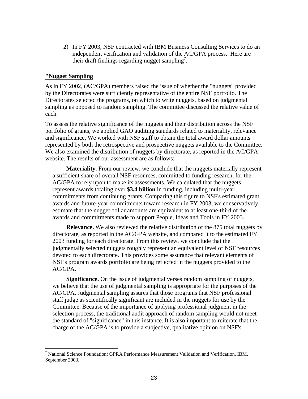2) In FY 2003, NSF contracted with IBM Business Consulting Services to do an independent verification and validation of the AC/GPA process. Here are their draft findings regarding nugget sampling<sup>7</sup>.

### **"Nugget Sampling**

As in FY 2002, (AC/GPA) members raised the issue of whether the "nuggets" provided by the Directorates were sufficiently representative of the entire NSF portfolio. The Directorates selected the programs, on which to write nuggets, based on judgmental sampling as opposed to random sampling. The committee discussed the relative value of each.

To assess the relative significance of the nuggets and their distribution across the NSF portfolio of grants, we applied GAO auditing standards related to materiality, relevance and significance. We worked with NSF staff to obtain the total award dollar amounts represented by both the retrospective and prospective nuggets available to the Committee. We also examined the distribution of nuggets by directorate, as reported in the AC/GPA website. The results of our assessment are as follows:

**Materiality.** From our review, we conclude that the nuggets materially represent a sufficient share of overall NSF resources, committed to funding research, for the AC/GPA to rely upon to make its assessments. We calculated that the nuggets represent awards totaling over **\$3.4 billion** in funding, including multi-year commitments from continuing grants. Comparing this figure to NSF's estimated grant awards and future-year commitments toward research in FY 2003, we conservatively estimate that the nugget dollar amounts are equivalent to at least one-third of the awards and commitments made to support People, Ideas and Tools in FY 2003.

**Relevance.** We also reviewed the relative distribution of the 875 total nuggets by directorate, as reported in the AC/GPA website, and compared it to the estimated FY 2003 funding for each directorate. From this review, we conclude that the judgmentally selected nuggets roughly represent an equivalent level of NSF resources devoted to each directorate. This provides some assurance that relevant elements of NSF's program awards portfolio are being reflected in the nuggets provided to the AC/GPA.

**Significance.** On the issue of judgmental verses random sampling of nuggets, we believe that the use of judgmental sampling is appropriate for the purposes of the AC/GPA. Judgmental sampling assures that those programs that NSF professional staff judge as scientifically significant are included in the nuggets for use by the Committee. Because of the importance of applying professional judgment in the selection process, the traditional audit approach of random sampling would not meet the standard of "significance" in this instance. It is also important to reiterate that the charge of the AC/GPA is to provide a subjective, qualitative opinion on NSF's

<sup>&</sup>lt;sup>7</sup> National Science Foundation: GPRA Performance Measurement Validation and Verification, IBM, September 2003.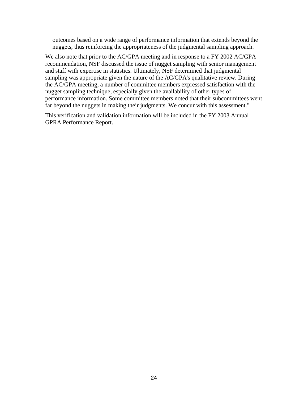outcomes based on a wide range of performance information that extends beyond the nuggets, thus reinforcing the appropriateness of the judgmental sampling approach.

We also note that prior to the AC/GPA meeting and in response to a FY 2002 AC/GPA recommendation, NSF discussed the issue of nugget sampling with senior management and staff with expertise in statistics. Ultimately, NSF determined that judgmental sampling was appropriate given the nature of the AC/GPA's qualitative review. During the AC/GPA meeting, a number of committee members expressed satisfaction with the nugget sampling technique, especially given the availability of other types of performance information. Some committee members noted that their subcommittees went far beyond the nuggets in making their judgments. We concur with this assessment."

This verification and validation information will be included in the FY 2003 Annual GPRA Performance Report.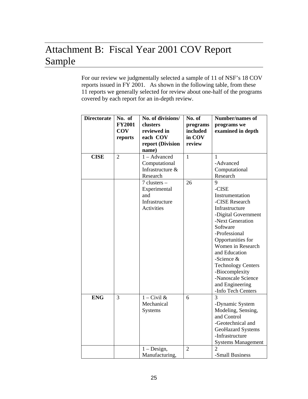# Attachment B: Fiscal Year 2001 COV Report Sample

For our review we judgmentally selected a sample of 11 of NSF's 18 COV reports issued in FY 2001. As shown in the following table, from these 11 reports we generally selected for review about one-half of the programs covered by each report for an in-depth review.

| <b>Directorate</b> | No. of<br><b>FY2001</b><br><b>COV</b><br>reports | No. of divisions/<br>clusters<br>reviewed in<br>each COV<br>report (Division<br>name) | No. of<br>programs<br>included<br>in COV<br>review | Number/names of<br>programs we<br>examined in depth                                                                                                                                                                                                                                                                                |
|--------------------|--------------------------------------------------|---------------------------------------------------------------------------------------|----------------------------------------------------|------------------------------------------------------------------------------------------------------------------------------------------------------------------------------------------------------------------------------------------------------------------------------------------------------------------------------------|
| <b>CISE</b>        | $\overline{2}$                                   | 1 - Advanced<br>Computational<br>Infrastructure &<br>Research                         | $\mathbf{1}$                                       | 1<br>-Advanced<br>Computational<br>Research                                                                                                                                                                                                                                                                                        |
|                    |                                                  | $7$ clusters $-$<br>Experimental<br>and<br>Infrastructure<br><b>Activities</b>        | 26                                                 | 9<br>-CISE<br>Instrumentation<br>-CISE Research<br>Infrastructure<br>-Digital Government<br>-Next Generation<br>Software<br>-Professional<br>Opportunities for<br>Women in Research<br>and Education<br>-Science $&$<br><b>Technology Centers</b><br>-Biocomplexity<br>-Nanoscale Science<br>and Engineering<br>-Info Tech Centers |
| <b>ENG</b>         | 3                                                | $1 - Civil &$<br>Mechanical<br><b>Systems</b>                                         | 6                                                  | 3<br>-Dynamic System<br>Modeling, Sensing,<br>and Control<br>-Geotechnical and<br><b>GeoHazard Systems</b><br>-Infrastructure<br><b>Systems Management</b>                                                                                                                                                                         |
|                    |                                                  | $1 - Design$ ,<br>Manufacturing,                                                      | $\overline{2}$                                     | $\overline{2}$<br>-Small Business                                                                                                                                                                                                                                                                                                  |